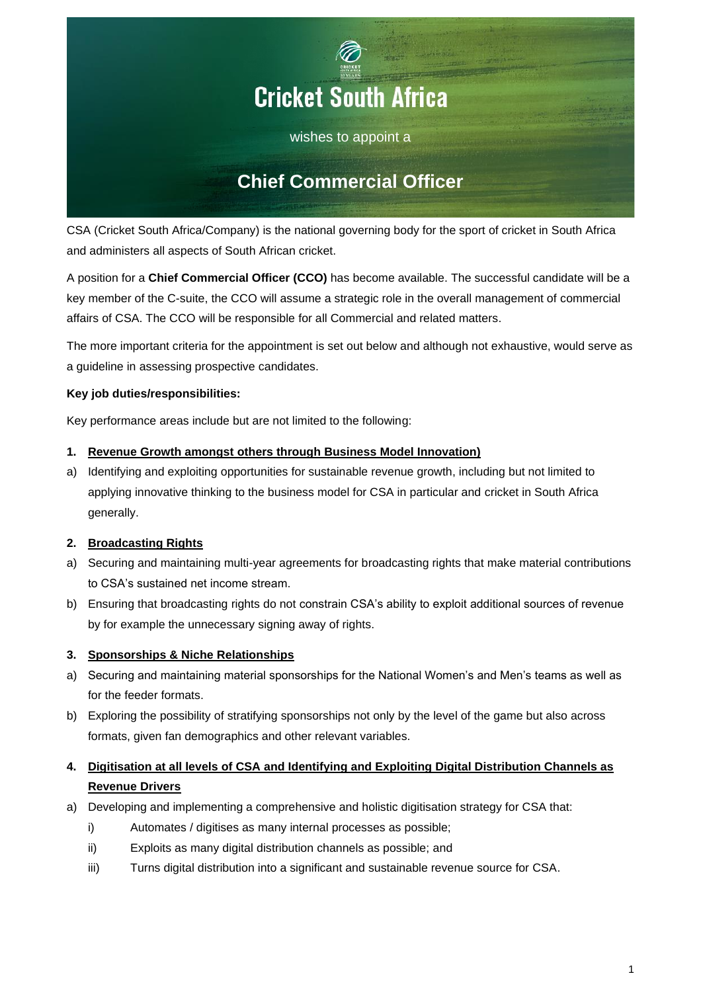

wishes to appoint a

# **Chief Commercial Officer**

CSA (Cricket South Africa/Company) is the national governing body for the sport of cricket in South Africa and administers all aspects of South African cricket.

A position for a **Chief Commercial Officer (CCO)** has become available. The successful candidate will be a key member of the C-suite, the CCO will assume a strategic role in the overall management of commercial affairs of CSA. The CCO will be responsible for all Commercial and related matters.

The more important criteria for the appointment is set out below and although not exhaustive, would serve as a guideline in assessing prospective candidates.

## **Key job duties/responsibilities:**

Key performance areas include but are not limited to the following:

### **1. Revenue Growth amongst others through Business Model Innovation)**

a) Identifying and exploiting opportunities for sustainable revenue growth, including but not limited to applying innovative thinking to the business model for CSA in particular and cricket in South Africa generally.

## **2. Broadcasting Rights**

- a) Securing and maintaining multi-year agreements for broadcasting rights that make material contributions to CSA's sustained net income stream.
- b) Ensuring that broadcasting rights do not constrain CSA's ability to exploit additional sources of revenue by for example the unnecessary signing away of rights.

## **3. Sponsorships & Niche Relationships**

- a) Securing and maintaining material sponsorships for the National Women's and Men's teams as well as for the feeder formats.
- b) Exploring the possibility of stratifying sponsorships not only by the level of the game but also across formats, given fan demographics and other relevant variables.

## **4. Digitisation at all levels of CSA and Identifying and Exploiting Digital Distribution Channels as Revenue Drivers**

- a) Developing and implementing a comprehensive and holistic digitisation strategy for CSA that:
	- i) Automates / digitises as many internal processes as possible;
	- ii) Exploits as many digital distribution channels as possible; and
	- iii) Turns digital distribution into a significant and sustainable revenue source for CSA.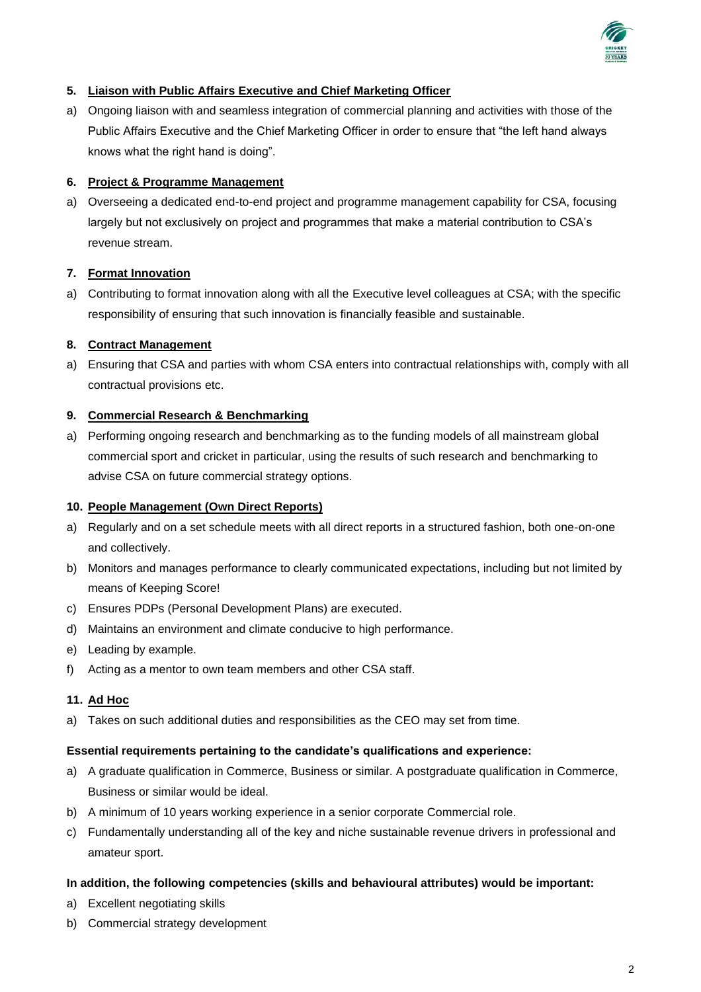

## **5. Liaison with Public Affairs Executive and Chief Marketing Officer**

a) Ongoing liaison with and seamless integration of commercial planning and activities with those of the Public Affairs Executive and the Chief Marketing Officer in order to ensure that "the left hand always knows what the right hand is doing".

## **6. Project & Programme Management**

a) Overseeing a dedicated end-to-end project and programme management capability for CSA, focusing largely but not exclusively on project and programmes that make a material contribution to CSA's revenue stream.

## **7. Format Innovation**

a) Contributing to format innovation along with all the Executive level colleagues at CSA; with the specific responsibility of ensuring that such innovation is financially feasible and sustainable.

## **8. Contract Management**

a) Ensuring that CSA and parties with whom CSA enters into contractual relationships with, comply with all contractual provisions etc.

### **9. Commercial Research & Benchmarking**

a) Performing ongoing research and benchmarking as to the funding models of all mainstream global commercial sport and cricket in particular, using the results of such research and benchmarking to advise CSA on future commercial strategy options.

### **10. People Management (Own Direct Reports)**

- a) Regularly and on a set schedule meets with all direct reports in a structured fashion, both one-on-one and collectively.
- b) Monitors and manages performance to clearly communicated expectations, including but not limited by means of Keeping Score!
- c) Ensures PDPs (Personal Development Plans) are executed.
- d) Maintains an environment and climate conducive to high performance.
- e) Leading by example.
- f) Acting as a mentor to own team members and other CSA staff.

### **11. Ad Hoc**

a) Takes on such additional duties and responsibilities as the CEO may set from time.

### **Essential requirements pertaining to the candidate's qualifications and experience:**

- a) A graduate qualification in Commerce, Business or similar. A postgraduate qualification in Commerce, Business or similar would be ideal.
- b) A minimum of 10 years working experience in a senior corporate Commercial role.
- c) Fundamentally understanding all of the key and niche sustainable revenue drivers in professional and amateur sport.

### **In addition, the following competencies (skills and behavioural attributes) would be important:**

- a) Excellent negotiating skills
- b) Commercial strategy development